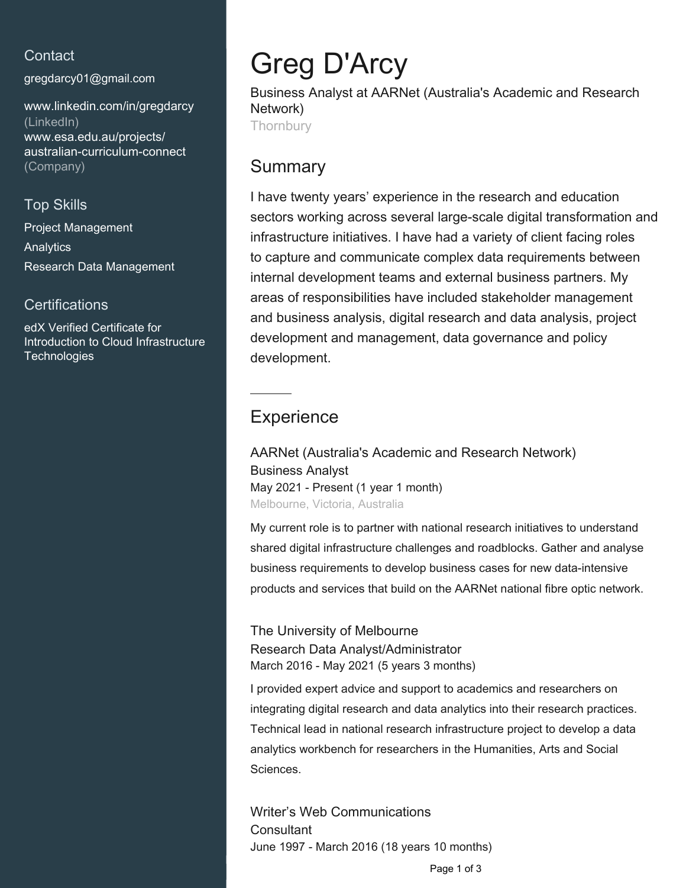### **Contact**

[gregdarcy01@gmail.com](mailto:gregdarcy01@gmail.com)

[www.linkedin.com/in/gregdarcy](https://www.linkedin.com/in/gregdarcy?jobid=1234&lipi=urn%3Ali%3Apage%3Ad_jobs_easyapply_pdfgenresume%3BCbOT0G2BSyeg3Ggda8eOxg%3D%3D&licu=urn%3Ali%3Acontrol%3Ad_jobs_easyapply_pdfgenresume-v02_profile) [\(LinkedIn\)](https://www.linkedin.com/in/gregdarcy?jobid=1234&lipi=urn%3Ali%3Apage%3Ad_jobs_easyapply_pdfgenresume%3BCbOT0G2BSyeg3Ggda8eOxg%3D%3D&licu=urn%3Ali%3Acontrol%3Ad_jobs_easyapply_pdfgenresume-v02_profile) [www.esa.edu.au/projects/](http://www.esa.edu.au/projects/australian-curriculum-connect) [australian-curriculum-connect](http://www.esa.edu.au/projects/australian-curriculum-connect) [\(Company\)](http://www.esa.edu.au/projects/australian-curriculum-connect)

# Top Skills

Project Management **Analytics** Research Data Management

#### **Certifications**

edX Verified Certificate for Introduction to Cloud Infrastructure **Technologies** 

# Greg D'Arcy

Business Analyst at AARNet (Australia's Academic and Research Network) **Thornbury** 

# Summary

I have twenty years' experience in the research and education sectors working across several large-scale digital transformation and infrastructure initiatives. I have had a variety of client facing roles to capture and communicate complex data requirements between internal development teams and external business partners. My areas of responsibilities have included stakeholder management and business analysis, digital research and data analysis, project development and management, data governance and policy development.

# **Experience**

AARNet (Australia's Academic and Research Network) Business Analyst May 2021 - Present (1 year 1 month) Melbourne, Victoria, Australia

My current role is to partner with national research initiatives to understand shared digital infrastructure challenges and roadblocks. Gather and analyse business requirements to develop business cases for new data-intensive products and services that build on the AARNet national fibre optic network.

The University of Melbourne Research Data Analyst/Administrator March 2016 - May 2021 (5 years 3 months)

I provided expert advice and support to academics and researchers on integrating digital research and data analytics into their research practices. Technical lead in national research infrastructure project to develop a data analytics workbench for researchers in the Humanities, Arts and Social Sciences.

Writer's Web Communications **Consultant** June 1997 - March 2016 (18 years 10 months)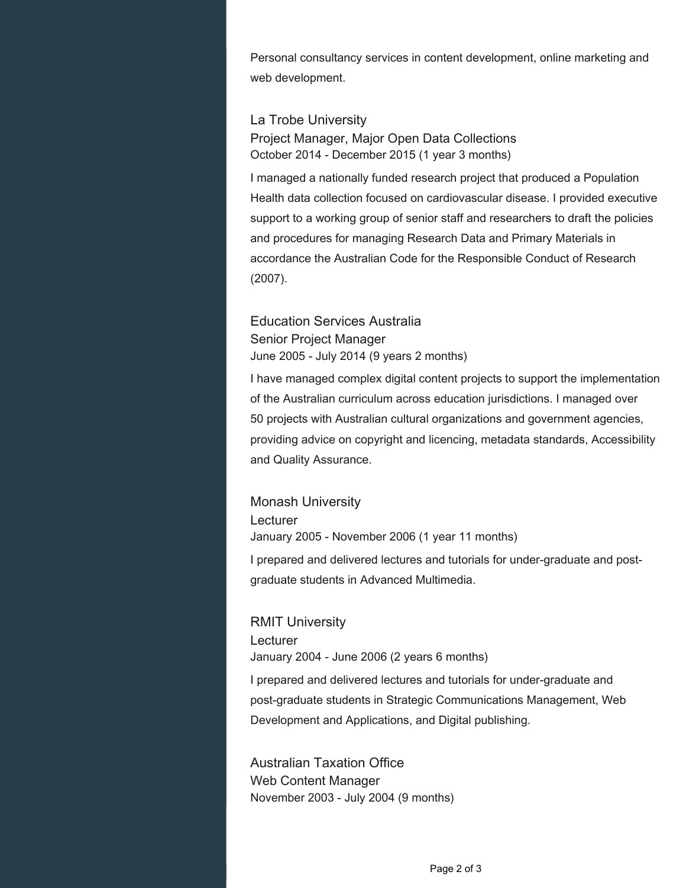Personal consultancy services in content development, online marketing and web development.

#### La Trobe University

Project Manager, Major Open Data Collections October 2014 - December 2015 (1 year 3 months)

I managed a nationally funded research project that produced a Population Health data collection focused on cardiovascular disease. I provided executive support to a working group of senior staff and researchers to draft the policies and procedures for managing Research Data and Primary Materials in accordance the Australian Code for the Responsible Conduct of Research (2007).

#### Education Services Australia Senior Project Manager June 2005 - July 2014 (9 years 2 months)

I have managed complex digital content projects to support the implementation of the Australian curriculum across education jurisdictions. I managed over 50 projects with Australian cultural organizations and government agencies, providing advice on copyright and licencing, metadata standards, Accessibility and Quality Assurance.

#### Monash University Lecturer January 2005 - November 2006 (1 year 11 months)

I prepared and delivered lectures and tutorials for under-graduate and postgraduate students in Advanced Multimedia.

## RMIT University **Lecturer** January 2004 - June 2006 (2 years 6 months)

I prepared and delivered lectures and tutorials for under-graduate and post-graduate students in Strategic Communications Management, Web Development and Applications, and Digital publishing.

#### Australian Taxation Office Web Content Manager November 2003 - July 2004 (9 months)